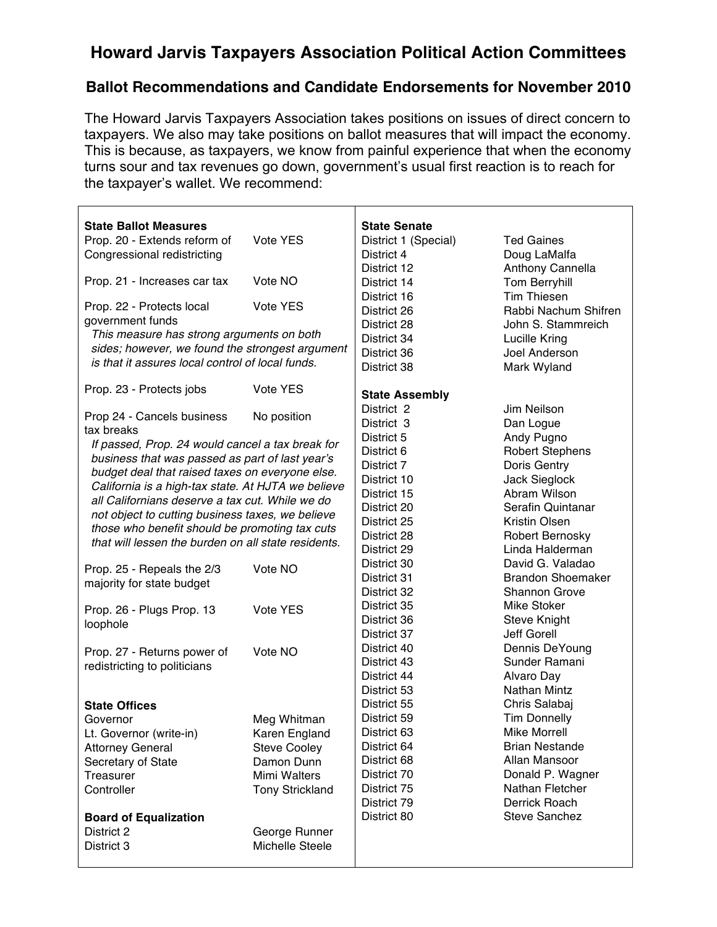## **Howard Jarvis Taxpayers Association Political Action Committees**

## **Ballot Recommendations and Candidate Endorsements for November 2010**

The Howard Jarvis Taxpayers Association takes positions on issues of direct concern to taxpayers. We also may take positions on ballot measures that will impact the economy. This is because, as taxpayers, we know from painful experience that when the economy turns sour and tax revenues go down, government's usual first reaction is to reach for the taxpayer's wallet. We recommend:

 $\top$ 

٦

| <b>State Ballot Measures</b><br><b>State Senate</b>                                     |  |
|-----------------------------------------------------------------------------------------|--|
| Prop. 20 - Extends reform of<br>Vote YES<br>District 1 (Special)<br><b>Ted Gaines</b>   |  |
| Doug LaMalfa<br>Congressional redistricting<br>District 4                               |  |
| Anthony Cannella<br>District 12                                                         |  |
| Vote NO<br>Prop. 21 - Increases car tax<br>Tom Berryhill<br>District 14                 |  |
| <b>Tim Thiesen</b>                                                                      |  |
| District 16<br>Vote YES<br>Prop. 22 - Protects local<br>Rabbi Nachum Shifren            |  |
| District 26<br>government funds                                                         |  |
| John S. Stammreich<br>District 28<br>This measure has strong arguments on both          |  |
| Lucille Kring<br>District 34<br>sides; however, we found the strongest argument         |  |
| District 36<br>Joel Anderson<br>is that it assures local control of local funds.        |  |
| Mark Wyland<br>District 38                                                              |  |
| Vote YES<br>Prop. 23 - Protects jobs                                                    |  |
| <b>State Assembly</b>                                                                   |  |
| District 2<br>Jim Neilson<br>Prop 24 - Cancels business<br>No position                  |  |
| District 3<br>Dan Logue<br>tax breaks                                                   |  |
| Andy Pugno<br>District 5<br>If passed, Prop. 24 would cancel a tax break for            |  |
| <b>Robert Stephens</b><br>District 6<br>business that was passed as part of last year's |  |
| Doris Gentry<br>District 7<br>budget deal that raised taxes on everyone else.           |  |
| Jack Sieglock<br>District 10<br>California is a high-tax state. At HJTA we believe      |  |
| Abram Wilson<br>District 15<br>all Californians deserve a tax cut. While we do          |  |
| Serafin Quintanar<br>District 20<br>not object to cutting business taxes, we believe    |  |
| Kristin Olsen<br>District 25<br>those who benefit should be promoting tax cuts          |  |
| Robert Bernosky<br>District 28<br>that will lessen the burden on all state residents.   |  |
| Linda Halderman<br>District 29                                                          |  |
| David G. Valadao<br>District 30<br>Prop. 25 - Repeals the 2/3<br>Vote NO                |  |
| <b>Brandon Shoemaker</b><br>District 31<br>majority for state budget                    |  |
| <b>Shannon Grove</b><br>District 32                                                     |  |
| Mike Stoker<br>District 35<br>Vote YES<br>Prop. 26 - Plugs Prop. 13                     |  |
| <b>Steve Knight</b><br>District 36<br>loophole                                          |  |
| Jeff Gorell<br>District 37                                                              |  |
| Dennis DeYoung<br>District 40<br>Vote NO<br>Prop. 27 - Returns power of                 |  |
| Sunder Ramani<br>District 43<br>redistricting to politicians                            |  |
| Alvaro Day<br>District 44                                                               |  |
| <b>Nathan Mintz</b><br>District 53                                                      |  |
| Chris Salabaj<br>District 55<br><b>State Offices</b>                                    |  |
| <b>Tim Donnelly</b><br>District 59<br>Meg Whitman<br>Governor                           |  |
| <b>Mike Morrell</b><br>District 63<br>Karen England<br>Lt. Governor (write-in)          |  |
| District 64<br><b>Brian Nestande</b><br><b>Attorney General</b><br><b>Steve Cooley</b>  |  |
| District 68<br>Allan Mansoor<br>Secretary of State<br>Damon Dunn                        |  |
| Donald P. Wagner<br>District 70<br>Mimi Walters<br>Treasurer                            |  |
| Nathan Fletcher<br>District 75<br>Controller<br><b>Tony Strickland</b>                  |  |
| Derrick Roach<br>District 79                                                            |  |
| <b>Steve Sanchez</b><br>District 80<br><b>Board of Equalization</b>                     |  |
| District 2<br>George Runner                                                             |  |
| Michelle Steele<br>District 3                                                           |  |